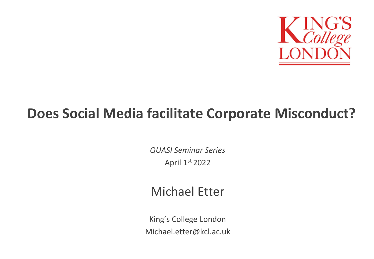

#### **Does Social Media facilitate Corporate Misconduct?**

*QUASI Seminar Series* April 1st 2022

#### Michael Etter

King's College London Michael.etter@kcl.ac.uk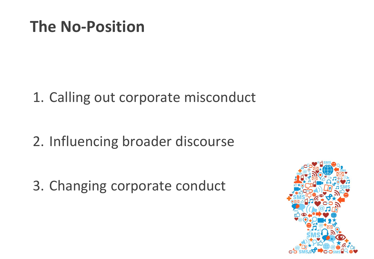### **The No-Position**

1. Calling out corporate misconduct

2. Influencing broader discourse

3. Changing corporate conduct

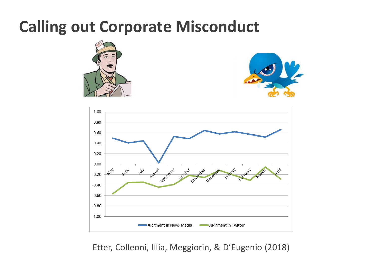### **Calling out Corporate Misconduct**







Etter, Colleoni, Illia, Meggiorin, & D'Eugenio (2018)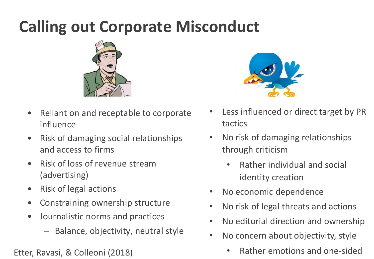## **Calling out Corporate Misconduct**



- Reliant on and receptable to corporate influence
- Risk of damaging social relationships and access to firms
- Risk of loss of revenue stream (advertising)
- Risk of legal actions
- Constraining ownership structure
- Journalistic norms and practices
	- Balance, objectivity, neutral style



- Less influenced or direct target by PR tactics
- No risk of damaging relationships through criticism
	- Rather individual and social identity creation
- No economic dependence
- No risk of legal threats and actions
- No editorial direction and ownership
- No concern about objectivity, style
- Etter, Ravasi, & Colleoni (2018) Rather emotions and one-sided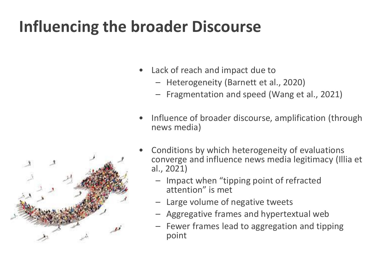## **Influencing the broader Discourse**

- Lack of reach and impact due to
	- Heterogeneity (Barnett et al., 2020)
	- Fragmentation and speed (Wang et al., 2021)
- Influence of broader discourse, amplification (through news media)



- Conditions by which heterogeneity of evaluations converge and influence news media legitimacy (Illia et al., 2021)
	- Impact when "tipping point of refracted attention" is met
	- Large volume of negative tweets
	- Aggregative frames and hypertextual web
	- Fewer frames lead to aggregation and tipping point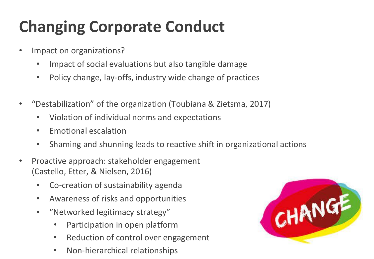# **Changing Corporate Conduct**

- Impact on organizations?
	- Impact of social evaluations but also tangible damage
	- Policy change, lay-offs, industry wide change of practices
- "Destabilization" of the organization (Toubiana & Zietsma, 2017)
	- Violation of individual norms and expectations
	- Emotional escalation
	- Shaming and shunning leads to reactive shift in organizational actions
- Proactive approach: stakeholder engagement (Castello, Etter, & Nielsen, 2016)
	- Co-creation of sustainability agenda
	- Awareness of risks and opportunities
	- "Networked legitimacy strategy"
		- Participation in open platform
		- Reduction of control over engagement
		- Non-hierarchical relationships

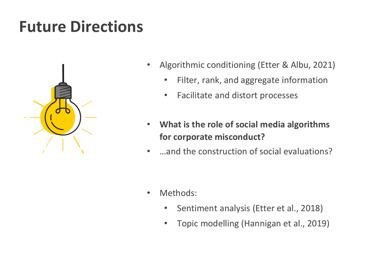## **Future Directions**



- Algorithmic conditioning (Etter & Albu, 2021)
	- Filter, rank, and aggregate information
	- Facilitate and distort processes
- **What is the role of social media algorithms for corporate misconduct?**
- …and the construction of social evaluations?

- Methods:
	- Sentiment analysis (Etter et al., 2018)
	- Topic modelling (Hannigan et al., 2019)